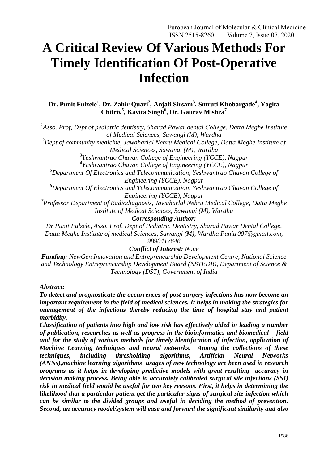# **A Critical Review Of Various Methods For Timely Identification Of Post-Operative Infection**

**Dr. Punit Fulzele<sup>1</sup> , Dr. Zahir Quazi<sup>2</sup>** *,* **Anjali Sirsam<sup>3</sup> , Smruti Khobargade<sup>4</sup> , Yogita Chitriv<sup>5</sup> , Kavita Singh<sup>6</sup> , Dr. Gaurav Mishra<sup>7</sup>**

<sup>1</sup> Asso. Prof, Dept of pediatric dentistry, Sharad Pawar dental College, Datta Meghe Institute *of Medical Sciences, Sawangi (M), Wardha*

*<sup>2</sup>Dept of community medicine, Jawaharlal Nehru Medical College, Datta Meghe Institute of Medical Sciences, Sawangi (M), Wardha*

*3 Yeshwantrao Chavan College of Engineering (YCCE), Nagpur*

*4 Yeshwantrao Chavan College of Engineering (YCCE), Nagpur*

*<sup>5</sup>Department Of Electronics and Telecommunication, Yeshwantrao Chavan College of Engineering (YCCE), Nagpur*

*<sup>6</sup>Department Of Electronics and Telecommunication, Yeshwantrao Chavan College of Engineering (YCCE), Nagpur*

*7 Professor Department of Radiodiagnosis, Jawaharlal Nehru Medical College, Datta Meghe Institute of Medical Sciences, Sawangi (M), Wardha*

*Corresponding Author:*

*Dr Punit Fulzele, Asso. Prof, Dept of Pediatric Dentistry, Sharad Pawar Dental College, Datta Meghe Institute of medical Sciences, Sawangi (M), Wardha Punitr007@gmail.com, 9890417646*

*Conflict of Interest: None*

*Funding: NewGen Innovation and Entrepreneurship Development Centre, National Science and Technology Entrepreneurship Development Board (NSTEDB), Department of Science & Technology (DST), Government of India*

*Abstract:* 

*To detect and prognosticate the occurrences of post-surgery infections has now become an important requirement in the field of medical sciences. It helps in making the strategies for management of the infections thereby reducing the time of hospital stay and patient morbidity.* 

*Classification of patients into high and low risk has effectively aided in leading a number of publication, researches as well as progress in the bioinformatics and biomedical field and for the study of various methods for timely identification of infection, application of Machine Learning techniques and neural networks. Among the collections of these techniques, including thresholding algorithms, Artificial Neural Networks (ANNs),machine learning algorithms usages of new technology are been used in research programs as it helps in developing predictive models with great resulting accuracy in decision making process. Being able to accurately calibrated surgical site infections (SSI) risk in medical field would be useful for two key reasons. First, it helps in determining the likelihood that a particular patient get the particular signs of surgical site infection which can be similar to the divided groups and useful in deciding the method of prevention. Second, an accuracy model/system will ease and forward the significant similarity and also*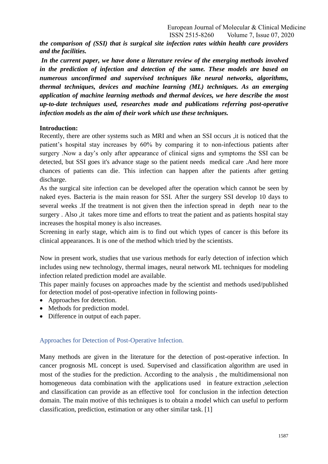*the comparison of (SSI) that is surgical site infection rates within health care providers and the facilities.*

In the current paper, we have done a literature review of the emerging methods involved *in the prediction of infection and detection of the same. These models are based on numerous unconfirmed and supervised techniques like neural networks, algorithms, thermal techniques, devices and machine learning (ML) techniques. As an emerging application of machine learning methods and thermal devices, we here describe the most up-to-date techniques used, researches made and publications referring post-operative infection models as the aim of their work which use these techniques.*

#### **Introduction:**

Recently, there are other systems such as MRI and when an SSI occurs ,it is noticed that the patient"s hospital stay increases by 60% by comparing it to non-infectious patients after surgery .Now a day"s only after appearance of clinical signs and symptoms the SSI can be detected, but SSI goes it's advance stage so the patient needs medical care .And here more chances of patients can die. This infection can happen after the patients after getting discharge.

As the surgical site infection can be developed after the operation which cannot be seen by naked eyes. Bacteria is the main reason for SSI. After the surgery SSI develop 10 days to several weeks .If the treatment is not given then the infection spread in depth near to the surgery . Also ,it takes more time and efforts to treat the patient and as patients hospital stay increases the hospital money is also increases.

Screening in early stage, which aim is to find out which types of cancer is this before its clinical appearances. It is one of the method which tried by the scientists.

Now in present work, studies that use various methods for early detection of infection which includes using new technology, thermal images, neural network ML techniques for modeling infection related prediction model are available.

This paper mainly focuses on approaches made by the scientist and methods used/published for detection model of post-operative infection in following points-

- Approaches for detection.
- Methods for prediction model.
- Difference in output of each paper.

#### Approaches for Detection of Post-Operative Infection.

Many methods are given in the literature for the detection of post-operative infection. In cancer prognosis ML concept is used. Supervised and classification algorithm are used in most of the studies for the prediction. According to the analysis , the multidimensional non homogeneous data combination with the applications used in feature extraction ,selection and classification can provide as an effective tool for conclusion in the infection detection domain. The main motive of this techniques is to obtain a model which can useful to perform classification, prediction, estimation or any other similar task. [1]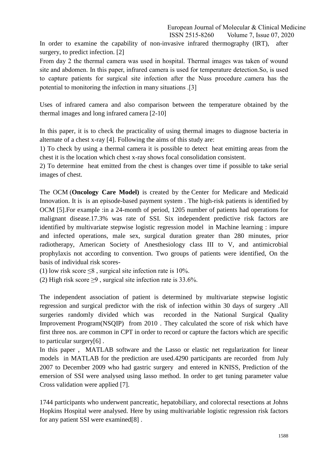In order to examine the capability of non-invasive infrared thermography (IRT), after surgery, to predict infection. [2]

From day 2 the thermal camera was used in hospital. Thermal images was taken of wound site and abdomen. In this paper, infrared camera is used for temperature detection.So, is used to capture patients for surgical site infection after the Nuss procedure .camera has the potential to monitoring the infection in many situations .[3]

Uses of infrared camera and also comparison between the temperature obtained by the thermal images and long infrared camera [2-10]

In this paper, it is to check the practicality of using thermal images to diagnose bacteria in alternate of a chest x-ray [4]. Following the aims of this study are:

1) To check by using a thermal camera it is possible to detect heat emitting areas from the chest it is the location which chest x-ray shows focal consolidation consistent.

2) To determine heat emitted from the chest is changes over time if possible to take serial images of chest.

The OCM (**Oncology Care Model)** is created by the Center for Medicare and Medicaid Innovation. It is is an episode-based payment system . The high-risk patients is identified by OCM [5].For example :in a 24-month of period, 1205 number of patients had operations for malignant disease.17.3% was rate of SSI. Six independent predictive risk factors are identified by multivariate stepwise logistic regression model in Machine learning : impure and infected operations, male sex, surgical duration greater than 280 minutes, prior radiotherapy, American Society of Anesthesiology class III to V, and antimicrobial prophylaxis not according to convention. Two groups of patients were identified, On the basis of individual risk scores-

(1) low risk score  $\leq$ 8, surgical site infection rate is 10%.

(2) High risk score  $\geq$ 9, surgical site infection rate is 33.6%.

The independent association of patient is determined by multivariate stepwise logistic regression and surgical predictor with the risk of infection within 30 days of surgery .All surgeries randomly divided which was recorded in the National Surgical Quality Improvement Program(NSQIP) from 2010 . They calculated the score of risk which have first three nos. are common in CPT in order to record or capture the factors which are specific to particular surgery[6] .

In this paper , MATLAB software and the Lasso or elastic net regularization for linear models in MATLAB for the prediction are used.4290 participants are recorded from July 2007 to December 2009 who had gastric surgery and entered in KNISS, Prediction of the emersion of SSI were analysed using lasso method. In order to get tuning parameter value Cross validation were applied [7].

1744 participants who underwent pancreatic, hepatobiliary, and colorectal resections at Johns Hopkins Hospital were analysed. Here by using multivariable logistic regression risk factors for any patient SSI were examined[8] .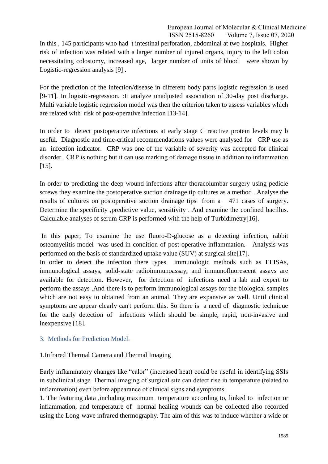In this , 145 participants who had t intestinal perforation, abdominal at two hospitals. Higher risk of infection was related with a larger number of injured organs, injury to the left colon necessitating colostomy, increased age, larger number of units of blood were shown by Logistic-regression analysis [9] .

For the prediction of the infection/disease in different body parts logistic regression is used [9-11]. In logistic-regression. :It analyze unadjusted association of 30-day post discharge. Multi variable logistic regression model was then the criterion taken to assess variables which are related with risk of post-operative infection [13-14].

In order to detect postoperative infections at early stage C reactive protein levels may b useful. Diagnostic and time-critical recommendations values were analysed for CRP use as an infection indicator. CRP was one of the variable of severity was accepted for clinical disorder . CRP is nothing but it can use marking of damage tissue in addition to inflammation [15].

In order to predicting the deep wound infections after thoracolumbar surgery using pedicle screws they examine the postoperative suction drainage tip cultures as a method . Analyse the results of cultures on postoperative suction drainage tips from a 471 cases of surgery. Determine the specificity ,predictive value, sensitivity . And examine the confined bacillus. Calculable analyses of serum CRP is performed with the help of Turbidimetry[16].

In this paper, To examine the use fluoro-D-glucose as a detecting infection, rabbit osteomyelitis model was used in condition of post-operative inflammation. Analysis was performed on the basis of standardized uptake value (SUV) at surgical site[17].

In order to detect the infection there types immunologic methods such as ELISAs, immunological assays, solid-state radioimmunoassay, and immunofluorescent assays are available for detection. However, for detection of infections need a lab and expert to perform the assays .And there is to perform immunological assays for the biological samples which are not easy to obtained from an animal. They are expansive as well. Until clinical symptoms are appear clearly can't perform this. So there is a need of diagnostic technique for the early detection of infections which should be simple, rapid, non-invasive and inexpensive [18].

# 3. Methods for Prediction Model.

# 1.Infrared Thermal Camera and Thermal Imaging

Early inflammatory changes like "calor" (increased heat) could be useful in identifying SSIs in subclinical stage. Thermal imaging of surgical site can detect rise in temperature (related to inflammation) even before appearance of clinical signs and symptoms.

1. The featuring data ,including maximum temperature according to, linked to infection or inflammation, and temperature of normal healing wounds can be collected also recorded using the Long-wave infrared thermography. The aim of this was to induce whether a wide or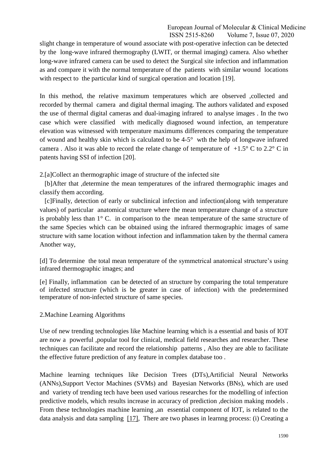slight change in temperature of wound associate with post-operative infection can be detected by the long-wave infrared thermography (LWIT, or thermal imaging) camera. Also whether long-wave infrared camera can be used to detect the Surgical site infection and inflammation as and compare it with the normal temperature of the patients with similar wound locations with respect to the particular kind of surgical operation and location [19].

In this method, the relative maximum temperatures which are observed ,collected and recorded by thermal camera and digital thermal imaging. The authors validated and exposed the use of thermal digital cameras and dual-imaging infrared to analyse images . In the two case which were classified with medically diagnosed wound infection, an temperature elevation was witnessed with temperature maximums differences comparing the temperature of wound and healthy skin which is calculated to be 4-5° wth the help of longwave infrared camera. Also it was able to record the relate change of temperature of  $+1.5^{\circ}$  C to 2.2° C in patents having SSI of infection [20].

2.[a]Collect an thermographic image of structure of the infected site

 [b]After that ,determine the mean temperatures of the infrared thermographic images and classify them according.

 [c]Finally, detection of early or subclinical infection and infection(along with temperature values) of particular anatomical structure where the mean temperature change of a structure is probably less than  $1^{\circ}$  C. in comparison to the mean temperature of the same structure of the same Species which can be obtained using the infrared thermographic images of same structure with same location without infection and inflammation taken by the thermal camera Another way,

[d] To determine the total mean temperature of the symmetrical anatomical structure's using infrared thermographic images; and

[e] Finally, inflammation can be detected of an structure by comparing the total temperature of infected structure (which is be greater in case of infection) with the predetermined temperature of non-infected structure of same species.

2.Machine Learning Algorithms

Use of new trending technologies like Machine learning which is a essential and basis of IOT are now a powerful ,popular tool for clinical, medical field researches and researcher. These techniques can facilitate and record the relationship patterns , Also they are able to facilitate the effective future prediction of any feature in complex database too .

Machine learning techniques like Decision Trees (DTs),Artificial Neural Networks (ANNs),Support Vector Machines (SVMs) and Bayesian Networks (BNs), which are used and variety of trending tech have been used various researches for the modelling of infection predictive models, which results increase in accuracy of prediction ,decision making models . From these technologies machine learning ,an essential component of IOT, is related to the data analysis and data sampling [\[17\],](https://www.sciencedirect.com/science/article/pii/S2001037014000464#bb0050) There are two phases in learnng process: (i) Creating a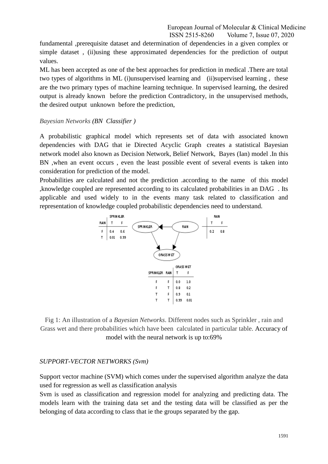fundamental ,prerequisite dataset and determination of dependencies in a given complex or simple dataset , (ii)using these approximated dependencies for the prediction of output values.

ML has been accepted as one of the best approaches for prediction in medical .There are total two types of algorithms in ML (i)unsupervised learning and (ii)supervised learning , these are the two primary types of machine learning technique. In supervised learning, the desired output is already known before the prediction Contradictory, in the unsupervised methods, the desired output unknown before the prediction,

#### *Bayesian Networks (BN Classifier )*

A probabilistic graphical model which represents set of data with associated known dependencies with DAG that ie Directed Acyclic Graph creates a statistical Bayesian network model also known as Decision Network, Belief Network, Bayes (Ian) model .In this BN ,when an event occurs , even the least possible event of several events is taken into consideration for prediction of the model.

Probabilities are calculated and not the prediction .according to the name of this model ,knowledge coupled are represented according to its calculated probabilities in an DAG . Its applicable and used widely to in the events many task related to classification and representation of knowledge coupled probabilistic dependencies need to understand.



Fig 1: An illustration of a *Bayesian Networks*. Different nodes such as Sprinkler , rain and Grass wet and there probabilities which have been calculated in particular table. Accuracy of model with the neural network is up to:69%

# *SUPPORT-VECTOR NETWORKS (Svm)*

Support vector machine (SVM) which comes under the supervised algorithm analyze the data used for regression as well as classification analysis

Svm is used as classification and regression model for analyzing and predicting data. The models learn with the training data set and the testing data will be classified as per the belonging of data according to class that ie the groups separated by the gap.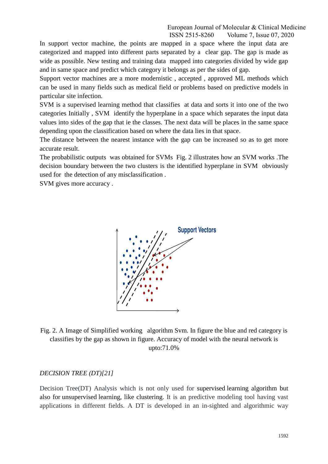In support vector machine, the points are mapped in a space where the input data are categorized and mapped into different parts separated by a clear gap. The gap is made as wide as possible. New testing and training data mapped into categories divided by wide gap and in same space and predict which category it belongs as per the sides of gap.

Support vector machines are a more modernistic , accepted , approved ML methods which can be used in many fields such as medical field or problems based on predictive models in particular site infection.

SVM is a supervised learning method that classifies at data and sorts it into one of the two categories Initially , SVM identify the hyperplane in a space which separates the input data values into sides of the gap that ie the classes. The next data will be places in the same space depending upon the classification based on where the data lies in that space.

The distance between the nearest instance with the gap can be increased so as to get more accurate result.

The probabilistic outputs was obtained for SVMs Fig. 2 illustrates how an SVM works .The decision boundary between the two clusters is the identified hyperplane in SVM obviously used for the detection of any misclassification .

SVM gives more accuracy .



Fig. 2. A Image of Simplified working algorithm Svm. In figure the blue and red category is classifies by the gap as shown in figure. Accuracy of model with the neural network is upto:71.0%

#### *DECISION TREE (DT)[21]*

Decision Tree(DT) Analysis which is not only used for supervised learning algorithm but also for unsupervised learning, like clustering. It is an predictive modeling tool having vast applications in different fields. A DT is developed in an in-sighted and algorithmic way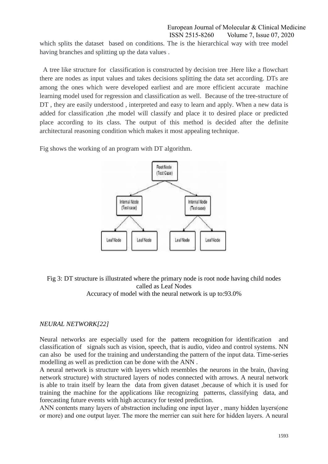which splits the dataset based on conditions. The is the hierarchical way with tree model having branches and splitting up the data values .

A tree like structure for classification is constructed by decision tree .Here like a flowchart there are nodes as input values and takes decisions splitting the data set according. DTs are among the ones which were developed earliest and are more efficient accurate machine learning model used for regression and classification as well. Because of the tree-structure of DT, they are easily understood, interpreted and easy to learn and apply. When a new data is added for classification ,the model will classify and place it to desired place or predicted place according to its class. The output of this method is decided after the definite architectural reasoning condition which makes it most appealing technique.

Fig shows the working of an program with DT algorithm.



# Fig 3: DT structure is illustrated where the primary node is root node having child nodes called as Leaf Nodes

Accuracy of model with the neural network is up to:93.0%

# *NEURAL NETWORK[22]*

Neural networks are especially used for the pattern recognition for identification and classification of signals such as vision, speech, that is audio, video and control systems. NN can also be used for the training and understanding the pattern of the input data. Time-series modelling as well as prediction can be done with the ANN .

A neural network is structure with layers which resembles the neurons in the brain, (having network structure) with structured layers of nodes connected with arrows. A neural network is able to train itself by learn the data from given dataset ,because of which it is used for training the machine for the applications like recognizing patterns, classifying data, and forecasting future events with high accuracy for tested prediction.

ANN contents many layers of abstraction including one input layer , many hidden layers(one or more) and one output layer. The more the merrier can suit here for hidden layers. A neural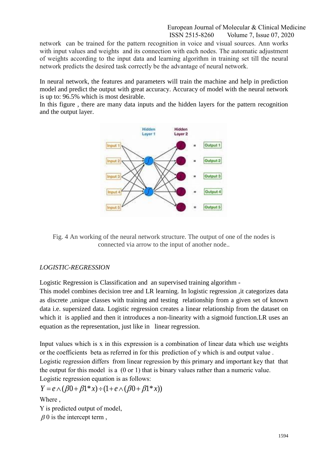network can be trained for the pattern recognition in voice and visual sources. Ann works with input values and weights and its connection with each nodes. The automatic adjustment of weights according to the input data and learning algorithm in training set till the neural network predicts the desired task correctly be the advantage of neural network.

In neural network, the features and parameters will train the machine and help in prediction model and predict the output with great accuracy. Accuracy of model with the neural network is up to: 96.5% which is most desirable.

In this figure , there are many data inputs and the hidden layers for the pattern recognition and the output layer.



Fig. 4 An working of the neural network structure. The output of one of the nodes is connected via arrow to the input of another node..

# *LOGISTIC-REGRESSION*

Logistic Regression is Classification and an supervised training algorithm -

This model combines decision tree and LR learning. In logistic regression ,it categorizes data as discrete ,unique classes with training and testing relationship from a given set of known data i.e. supersized data. Logistic regression creates a linear relationship from the dataset on which it is applied and then it introduces a non-linearity with a sigmoid function. LR uses an equation as the representation, just like in linear regression.

Input values which is x in this expression is a combination of linear data which use weights or the coefficients beta as referred in for this prediction of y which is and output value . Logistic regression differs from linear regression by this primary and important key that that the output for this model is a (0 or 1) that is binary values rather than a numeric value. Logistic regression equation is as follows:

$$
Y = e \wedge (\beta 0 + \beta 1^* x) \div (1 + e \wedge (\beta 0 + \beta 1^* x))
$$

Where ,

Y is predicted output of model,

 $\beta$  0 is the intercept term,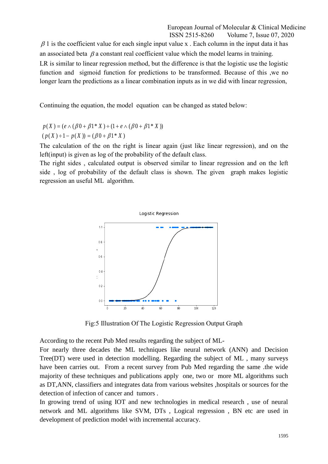$\beta$  1 is the coefficient value for each single input value x. Each column in the input data it has an associated beta  $\beta$  a constant real coefficient value which the model learns in training. LR is similar to linear regression method, but the difference is that the logistic use the logistic function and sigmoid function for predictions to be transformed. Because of this ,we no longer learn the predictions as a linear combination inputs as in we did with linear regression,

Continuing the equation, the model equation can be changed as stated below:

$$
p(X) = (e \wedge (\beta 0 + \beta 1^* X) \div (1 + e \wedge (\beta 0 + \beta 1^* X))
$$

 $(p(X) \div 1 - p(X)) = (\beta 0 + \beta 1^* X)$ 

The calculation of the on the right is linear again (just like linear regression), and on the left(input) is given as log of the probability of the default class.

The right sides , calculated output is observed similar to linear regression and on the left side , log of probability of the default class is shown. The given graph makes logistic regression an useful ML algorithm.



Fig:5 Illustration Of The Logistic Regression Output Graph

According to the recent Pub Med results regarding the subject of ML-

For nearly three decades the ML techniques like neural network (ANN) and Decision Tree(DT) were used in detection modelling. Regarding the subject of ML , many surveys have been carries out. From a recent survey from Pub Med regarding the same .the wide majority of these techniques and publications apply one, two or more ML algorithms such as DT,ANN, classifiers and integrates data from various websites ,hospitals or sources for the detection of infection of cancer and tumors .

In growing trend of using IOT and new technologies in medical research , use of neural network and ML algorithms like SVM, DTs , Logical regression , BN etc are used in development of prediction model with incremental accuracy.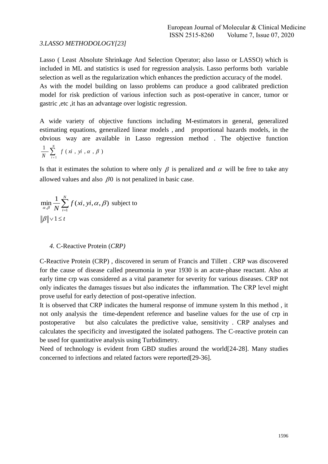#### *3.LASSO METHODOLOGY[23]*

Lasso ( Least Absolute Shrinkage And Selection Operator; also lasso or LASSO) which is included in ML and statistics is used for regression analysis. Lasso performs both variable selection as well as the regularization which enhances the prediction accuracy of the model. As with the model building on lasso problems can produce a good calibrated prediction model for risk prediction of various infection such as post-operative in cancer, tumor or gastric ,etc ,it has an advantage over logistic regression.

A wide variety of objective functions including M-estimators in general, generalized estimating equations, generalized linear models , and proportional hazards models, in the obvious way are available in Lasso regression method . The objective function *N*

$$
\frac{1}{N} \sum_{i=1}^{N} f(x_i, y_i, \alpha, \beta)
$$

Is that it estimates the solution to where only  $\beta$  is penalized and  $\alpha$  will be free to take any allowed values and also  $\beta$ 0 is not penalized in basic case.

$$
\min_{\alpha,\beta} \frac{1}{N} \sum_{i=1}^{N} f(x_i, y_i, \alpha, \beta)
$$
 subject to  

$$
\|\beta\| \vee 1 \le t
$$

#### *4.* C-Reactive Protein (*CRP)*

C-Reactive Protein (CRP) , discovered in serum of Francis and Tillett . CRP was discovered for the cause of disease called pneumonia in year 1930 is an acute-phase reactant. Also at early time crp was considered as a vital parameter for severity for various diseases. CRP not only indicates the damages tissues but also indicates the inflammation. The CRP level might prove useful for early detection of post-operative infection.

It is observed that CRP indicates the humeral response of immune system In this method , it not only analysis the time-dependent reference and baseline values for the use of crp in postoperative but also calculates the predictive value, sensitivity . CRP analyses and calculates the specificity and investigated the isolated pathogens. The C-reactive protein can be used for quantitative analysis using Turbidimetry.

Need of technology is evident from GBD studies around the world[24-28]. Many studies concerned to infections and related factors were reported[29-36].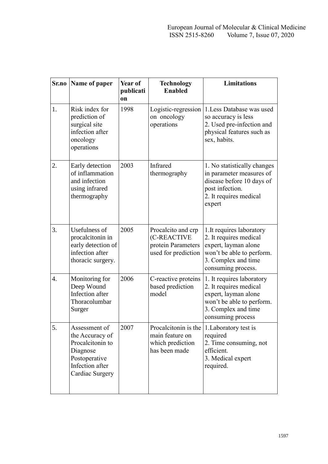| Sr.no            | Name of paper                                                                                                           | Year of<br>publicati<br>on | <b>Technology</b><br><b>Enabled</b>                                            | <b>Limitations</b>                                                                                                                                    |
|------------------|-------------------------------------------------------------------------------------------------------------------------|----------------------------|--------------------------------------------------------------------------------|-------------------------------------------------------------------------------------------------------------------------------------------------------|
| 1.               | Risk index for<br>prediction of<br>surgical site<br>infection after<br>oncology<br>operations                           | 1998                       | Logistic-regression<br>on oncology<br>operations                               | 1. Less Database was used<br>so accuracy is less<br>2. Used pre-infection and<br>physical features such as<br>sex, habits.                            |
| 2.               | Early detection<br>of inflammation<br>and infection<br>using infrared<br>thermography                                   | 2003                       | Infrared<br>thermography                                                       | 1. No statistically changes<br>in parameter measures of<br>disease before 10 days of<br>post infection.<br>2. It requires medical<br>expert           |
| 3.               | Usefulness of<br>procalcitonin in<br>early detection of<br>infection after<br>thoracic surgery.                         | 2005                       | Procalcito and crp<br>(C-REACTIVE<br>protein Parameters<br>used for prediction | 1. It requires laboratory<br>2. It requires medical<br>expert, layman alone<br>won't be able to perform.<br>3. Complex and time<br>consuming process. |
| $\overline{4}$ . | Monitoring for<br>Deep Wound<br>Infection after<br>Thoracolumbar<br>Surger                                              | 2006                       | C-reactive proteins<br>based prediction<br>model                               | 1. It requires laboratory<br>2. It requires medical<br>expert, layman alone<br>won't be able to perform.<br>3. Complex and time<br>consuming process  |
| 5.               | Assessment of<br>the Accuracy of<br>Procalcitonin to<br>Diagnose<br>Postoperative<br>Infection after<br>Cardiac Surgery | 2007                       | Procalcitonin is the<br>main feature on<br>which prediction<br>has been made   | 1. Laboratory test is<br>required<br>2. Time consuming, not<br>efficient.<br>3. Medical expert<br>required.                                           |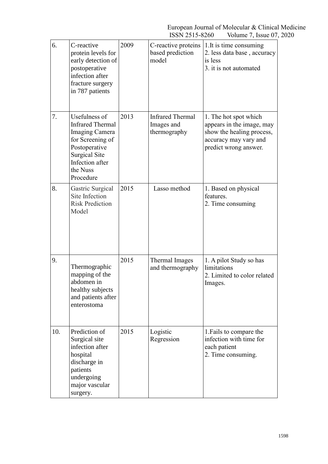| 6.  | C-reactive<br>protein levels for<br>early detection of<br>postoperative<br>infection after<br>fracture surgery<br>in 787 patients                                          | 2009 | C-reactive proteins<br>based prediction<br>model      | 1. It is time consuming<br>2. less data base, accuracy<br>is less<br>3. it is not automated                                       |
|-----|----------------------------------------------------------------------------------------------------------------------------------------------------------------------------|------|-------------------------------------------------------|-----------------------------------------------------------------------------------------------------------------------------------|
| 7.  | Usefulness of<br><b>Infrared Thermal</b><br><b>Imaging Camera</b><br>for Screening of<br>Postoperative<br><b>Surgical Site</b><br>Infection after<br>the Nuss<br>Procedure | 2013 | <b>Infrared Thermal</b><br>Images and<br>thermography | 1. The hot spot which<br>appears in the image, may<br>show the healing process,<br>accuracy may vary and<br>predict wrong answer. |
| 8.  | Gastric Surgical<br>Site Infection<br><b>Risk Prediction</b><br>Model                                                                                                      | 2015 | Lasso method                                          | 1. Based on physical<br>features.<br>2. Time consuming                                                                            |
| 9.  | Thermographic<br>mapping of the<br>abdomen in<br>healthy subjects<br>and patients after<br>enterostoma                                                                     | 2015 | Thermal Images<br>and thermography                    | 1. A pilot Study so has<br>limitations<br>2. Limited to color related<br>Images.                                                  |
| 10. | Prediction of<br>Surgical site<br>infection after<br>hospital<br>discharge in<br>patients<br>undergoing<br>major vascular<br>surgery.                                      | 2015 | Logistic<br>Regression                                | 1. Fails to compare the<br>infection with time for<br>each patient<br>2. Time consuming.                                          |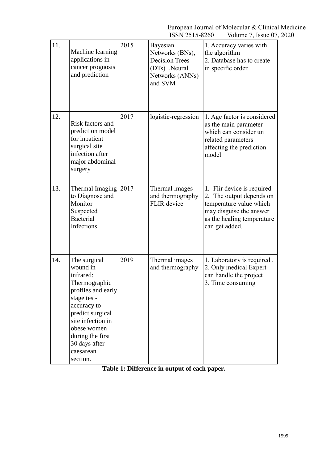| 11. | Machine learning<br>applications in<br>cancer prognosis<br>and prediction                                                                                                                                                        | 2015 | Bayesian<br>Networks (BNs),<br><b>Decision Trees</b><br>(DTs), Neural<br>Networks (ANNs)<br>and SVM | 1. Accuracy varies with<br>the algorithm<br>2. Database has to create<br>in specific order.                                                                  |
|-----|----------------------------------------------------------------------------------------------------------------------------------------------------------------------------------------------------------------------------------|------|-----------------------------------------------------------------------------------------------------|--------------------------------------------------------------------------------------------------------------------------------------------------------------|
| 12. | Risk factors and<br>prediction model<br>for inpatient<br>surgical site<br>infection after<br>major abdominal<br>surgery                                                                                                          | 2017 | logistic-regression                                                                                 | 1. Age factor is considered<br>as the main parameter<br>which can consider un<br>related parameters<br>affecting the prediction<br>model                     |
| 13. | Thermal Imaging 2017<br>to Diagnose and<br>Monitor<br>Suspected<br><b>Bacterial</b><br>Infections                                                                                                                                |      | Thermal images<br>and thermography<br><b>FLIR</b> device                                            | 1. Flir device is required<br>2. The output depends on<br>temperature value which<br>may disguise the answer<br>as the healing temperature<br>can get added. |
| 14. | The surgical<br>wound in<br>infrared:<br>Thermographic<br>profiles and early<br>stage test-<br>accuracy to<br>predict surgical<br>site infection in<br>obese women<br>during the first<br>30 days after<br>caesarean<br>section. | 2019 | Thermal images<br>and thermography                                                                  | 1. Laboratory is required.<br>2. Only medical Expert<br>can handle the project<br>3. Time consuming                                                          |

**Table 1: Difference in output of each paper.**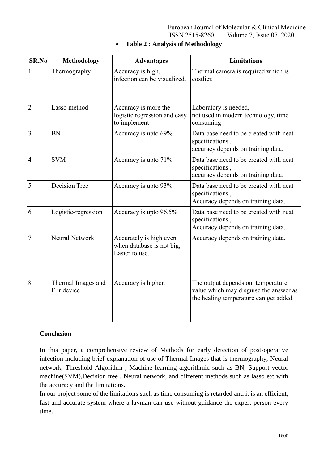| <b>SR.No</b>   | <b>Methodology</b>                | <b>Advantages</b>                                                      | <b>Limitations</b>                                                                                                    |
|----------------|-----------------------------------|------------------------------------------------------------------------|-----------------------------------------------------------------------------------------------------------------------|
| 1              | Thermography                      | Accuracy is high,<br>infection can be visualized.                      | Thermal camera is required which is<br>costlier.                                                                      |
| $\overline{2}$ | Lasso method                      | Accuracy is more the<br>logistic regression and easy<br>to implement   | Laboratory is needed,<br>not used in modern technology, time<br>consuming                                             |
| 3              | <b>BN</b>                         | Accuracy is upto 69%                                                   | Data base need to be created with neat<br>specifications,<br>accuracy depends on training data.                       |
| $\overline{4}$ | <b>SVM</b>                        | Accuracy is upto 71%                                                   | Data base need to be created with neat<br>specifications,<br>accuracy depends on training data.                       |
| 5              | <b>Decision Tree</b>              | Accuracy is upto 93%                                                   | Data base need to be created with neat<br>specifications,<br>Accuracy depends on training data.                       |
| 6              | Logistic-regression               | Accuracy is upto 96.5%                                                 | Data base need to be created with neat<br>specifications,<br>Accuracy depends on training data.                       |
| 7              | <b>Neural Network</b>             | Accurately is high even<br>when database is not big,<br>Easier to use. | Accuracy depends on training data.                                                                                    |
| 8              | Thermal Images and<br>Flir device | Accuracy is higher.                                                    | The output depends on temperature<br>value which may disguise the answer as<br>the healing temperature can get added. |

# **Table 2 : Analysis of Methodology**

# **Conclusion**

In this paper, a comprehensive review of Methods for early detection of post-operative infection including brief explanation of use of Thermal Images that is thermography, Neural network, Threshold Algorithm , Machine learning algorithmic such as BN, Support-vector machine(SVM),Decision tree , Neural network, and different methods such as lasso etc with the accuracy and the limitations.

In our project some of the limitations such as time consuming is retarded and it is an efficient, fast and accurate system where a layman can use without guidance the expert person every time.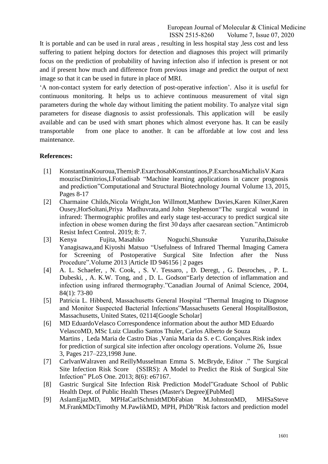It is portable and can be used in rural areas , resulting in less hospital stay ,less cost and less suffering to patient helping doctors for detection and diagnoses this project will primarily focus on the prediction of probability of having infection also if infection is present or not and if present how much and difference from previous image and predict the output of next image so that it can be used in future in place of MRI.

"A non-contact system for early detection of post-operative infection". Also it is useful for continuous monitoring. It helps us to achieve continuous measurement of vital sign parameters during the whole day without limiting the patient mobility. To analyze vital sign parameters for disease diagnosis to assist professionals. This application will be easily available and can be used with smart phones which almost everyone has. It can be easily transportable from one place to another. It can be affordable at low cost and less maintenance.

# **References:**

- [1] [KonstantinaKouroua,ThemisP.ExarchosabKonstantinos,P.ExarchosaMichalisV.Kara](https://www.sciencedirect.com/science/article/pii/S2001037014000464#!) [mouziscDimitrios,I.Fotiadisab](https://www.sciencedirect.com/science/article/pii/S2001037014000464#!) "Machine learning applications in cancer prognosis and prediction["Computational and Structural Biotechnology Journal](https://www.sciencedirect.com/science/journal/20010370) [Volume 13,](https://www.sciencedirect.com/science/journal/20010370/13/supp/C) 2015, Pages 8-17
- [2] [Charmaine Childs](https://www.ncbi.nlm.nih.gov/pubmed/?term=Childs%20C%5bAuthor%5d&cauthor=true&cauthor_uid=30637101)[,Nicola Wright](https://www.ncbi.nlm.nih.gov/pubmed/?term=Wright%20N%5bAuthor%5d&cauthor=true&cauthor_uid=30637101)[,Jon Willmott](https://www.ncbi.nlm.nih.gov/pubmed/?term=Willmott%20J%5bAuthor%5d&cauthor=true&cauthor_uid=30637101)[,Matthew Davies,](https://www.ncbi.nlm.nih.gov/pubmed/?term=Davies%20M%5bAuthor%5d&cauthor=true&cauthor_uid=30637101)[Karen Kilner](https://www.ncbi.nlm.nih.gov/pubmed/?term=Kilner%20K%5bAuthor%5d&cauthor=true&cauthor_uid=30637101)[,Karen](https://www.ncbi.nlm.nih.gov/pubmed/?term=Ousey%20K%5bAuthor%5d&cauthor=true&cauthor_uid=30637101)  [Ousey](https://www.ncbi.nlm.nih.gov/pubmed/?term=Ousey%20K%5bAuthor%5d&cauthor=true&cauthor_uid=30637101)[,HorSoltani,](https://www.ncbi.nlm.nih.gov/pubmed/?term=Soltani%20H%5bAuthor%5d&cauthor=true&cauthor_uid=30637101)[Priya Madhuvrata,](https://www.ncbi.nlm.nih.gov/pubmed/?term=Madhuvrata%20P%5bAuthor%5d&cauthor=true&cauthor_uid=30637101)and [John Stephenson"](https://www.ncbi.nlm.nih.gov/pubmed/?term=Stephenson%20J%5bAuthor%5d&cauthor=true&cauthor_uid=30637101)The surgical wound in infrared: Thermographic profiles and early stage test-accuracy to predict surgical site infection in obese women during the first 30 days after caesarean section.["Antimicrob](https://www.ncbi.nlm.nih.gov/pmc/articles/PMC6323776/)  [Resist Infect Control.](https://www.ncbi.nlm.nih.gov/pmc/articles/PMC6323776/) 2019; 8: 7.
- [3] Kenya Fujita, Masahiko Noguchi,Shunsuke Yuzuriha,Daisuke Yanagisawa,and Kiyoshi Matsuo "Usefulness of Infrared Thermal Imaging Camera for Screening of Postoperative Surgical Site Infection after the Nuss Procedure".Volume 2013 |Article ID 946156 | 2 pages
- [4] A. L. Schaefer, , N. Cook, , S. V. Tessaro, , D. Deregt, , G. Desroches, , P. L. Dubeski, , A. K.W. Tong, and , D. L. Godson"Early detection of inflammation and infection using infrared thermography."Canadian Journal of Animal Science, 2004, 84(1): 73-80
- [5] Patricia L. Hibberd, Massachusetts General Hospital "Thermal Imaging to Diagnose and Monitor Suspected Bacterial Infections"Massachusetts General HospitalBoston, Massachusetts, United States, 02114[Google Scholar]
- [6] MD [EduardoVelasco](https://www.ajicjournal.org/article/S0196-6553(98)80004-7/javascript:void(0);) [Correspondence information about the author MD Eduardo](https://www.ajicjournal.org/article/S0196-6553(98)80004-7/javascript:void(0);)  [VelascoM](https://www.ajicjournal.org/article/S0196-6553(98)80004-7/javascript:void(0);)D, MSc [Luiz Claudio Santos Thuler,](https://www.ajicjournal.org/article/S0196-6553(98)80004-7/javascript:void(0);) [Carlos Alberto de Souza](https://www.ajicjournal.org/article/S0196-6553(98)80004-7/javascript:void(0);)  [Martins](https://www.ajicjournal.org/article/S0196-6553(98)80004-7/javascript:void(0);) , [Leda Maria de Castro Dias](https://www.ajicjournal.org/article/S0196-6553(98)80004-7/javascript:void(0);) [,Vania Maria da S. e C. Gonçalves.](https://www.ajicjournal.org/article/S0196-6553(98)80004-7/javascript:void(0);)Risk index for prediction of surgical site infection after oncology operations. Volume 26, Issue 3, Pages 217–223,1998 June.
- [7] [CarlvanWalraven](https://www.ncbi.nlm.nih.gov/pubmed/?term=van%20Walraven%20C%5bAuthor%5d&cauthor=true&cauthor_uid=23826224) and [ReillyMusselman](https://www.ncbi.nlm.nih.gov/pubmed/?term=Musselman%20R%5bAuthor%5d&cauthor=true&cauthor_uid=23826224) Emma S. McBryde, Editor ." The Surgical Site Infection Risk Score (SSIRS): A Model to Predict the Risk of Surgical Site Infection" [PLoS One.](https://www.ncbi.nlm.nih.gov/pmc/articles/PMC3694979/) 2013; 8(6): e67167.
- [8] Gastric Surgical Site Infection Risk Prediction Model["Graduate School of Public](http://s-space.snu.ac.kr/handle/10371/433)  [Health](http://s-space.snu.ac.kr/handle/10371/433) [Dept. of Public Health Theses \(Master's Degree\)\[](http://s-space.snu.ac.kr/handle/10371/435)PubMed]
- [9] [AslamEjazMD, MPHaCarlSchmidtMDbFabian M.JohnstonMD, MHSaSteve](https://www.sciencedirect.com/science/article/pii/S0022480417302718#!)  [M.FrankMDcTimothy M.PawlikMD, MPH, PhDb"](https://www.sciencedirect.com/science/article/pii/S0022480417302718#!)Risk factors and prediction model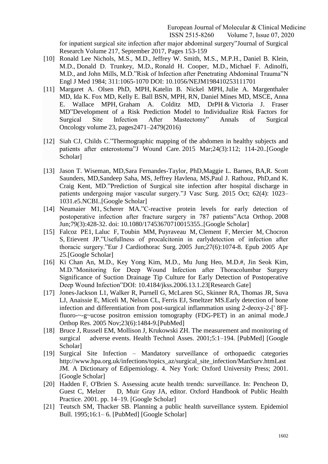for inpatient surgical site infection after major abdominal surgery["Journal of Surgical](https://www.sciencedirect.com/science/journal/00224804)  [Research](https://www.sciencedirect.com/science/journal/00224804) [Volume 217,](https://www.sciencedirect.com/science/journal/00224804/217/supp/C) September 2017, Pages 153-159

- [10] Ronald Lee Nichols, M.S., M.D., Jeffrey W. Smith, M.S., M.P.H., Daniel B. Klein, M.D., Donald D. Trunkey, M.D., Ronald H. Cooper, M.D., Michael F. Adinolfi, M.D., and John Mills, M.D."Risk of Infection after Penetrating Abdominal Trauma"N Engl J Med 1984; 311:1065-1070 DOI: 10.1056/NEJM198410253111701
- [11] [Margaret A. Olsen PhD, MPH,](https://link.springer.com/article/10.1245/s10434-015-5083-1#auth-1) [Katelin B. Nickel MPH,](https://link.springer.com/article/10.1245/s10434-015-5083-1#auth-2) [Julie A. Margenthaler](https://link.springer.com/article/10.1245/s10434-015-5083-1#auth-3)  [MD,](https://link.springer.com/article/10.1245/s10434-015-5083-1#auth-3) [Ida K. Fox MD,](https://link.springer.com/article/10.1245/s10434-015-5083-1#auth-4) [Kelly E. Ball BSN, MPH, RN,](https://link.springer.com/article/10.1245/s10434-015-5083-1#auth-5) [Daniel Mines MD, MSCE,](https://link.springer.com/article/10.1245/s10434-015-5083-1#auth-6) [Anna](https://link.springer.com/article/10.1245/s10434-015-5083-1#auth-7)  [E. Wallace MPH,](https://link.springer.com/article/10.1245/s10434-015-5083-1#auth-7) [Graham A. Colditz MD, DrPH](https://link.springer.com/article/10.1245/s10434-015-5083-1#auth-8) & [Victoria J. Fraser](https://link.springer.com/article/10.1245/s10434-015-5083-1#auth-9)  [MD"](https://link.springer.com/article/10.1245/s10434-015-5083-1#auth-9)Development of a Risk Prediction Model to Individualize Risk Factors for Surgical Site Infection After Mastectomy" [Annals of Surgical](https://link.springer.com/journal/10434)  [Oncology](https://link.springer.com/journal/10434) volume 23, pages2471–2479(2016)
- [12] [Siah CJ,](https://www.ncbi.nlm.nih.gov/pubmed/?term=Siah%20CJ%5bAuthor%5d&cauthor=true&cauthor_uid=25764955) [Childs C.](https://www.ncbi.nlm.nih.gov/pubmed/?term=Childs%20C%5bAuthor%5d&cauthor=true&cauthor_uid=25764955)"Thermographic mapping of the abdomen in healthy subjects and patients after enterostoma["J Wound Care.](https://www.ncbi.nlm.nih.gov/pubmed/25764955) 2015 Mar;24(3):112; 114-20..[Google Scholar]
- [13] [Jason T. Wiseman,](https://www.ncbi.nlm.nih.gov/pubmed/?term=Wiseman%20JT%5bAuthor%5d&cauthor=true&cauthor_uid=26143662) MD[,Sara Fernandes-Taylor,](https://www.ncbi.nlm.nih.gov/pubmed/?term=Fernandes-Taylor%20S%5bAuthor%5d&cauthor=true&cauthor_uid=26143662) PhD[,Maggie L. Barnes,](https://www.ncbi.nlm.nih.gov/pubmed/?term=Barnes%20ML%5bAuthor%5d&cauthor=true&cauthor_uid=26143662) BA[,R. Scott](https://www.ncbi.nlm.nih.gov/pubmed/?term=Saunders%20RS%5bAuthor%5d&cauthor=true&cauthor_uid=26143662)  [Saunders,](https://www.ncbi.nlm.nih.gov/pubmed/?term=Saunders%20RS%5bAuthor%5d&cauthor=true&cauthor_uid=26143662) MD[,Sandeep Saha,](https://www.ncbi.nlm.nih.gov/pubmed/?term=Saha%20S%5bAuthor%5d&cauthor=true&cauthor_uid=26143662) MS, [Jeffrey Havlena,](https://www.ncbi.nlm.nih.gov/pubmed/?term=Havlena%20J%5bAuthor%5d&cauthor=true&cauthor_uid=26143662) MS[,Paul J. Rathouz,](https://www.ncbi.nlm.nih.gov/pubmed/?term=Rathouz%20PJ%5bAuthor%5d&cauthor=true&cauthor_uid=26143662) PhD,and [K.](https://www.ncbi.nlm.nih.gov/pubmed/?term=Kent%20KC%5bAuthor%5d&cauthor=true&cauthor_uid=26143662) [Craig Kent,](https://www.ncbi.nlm.nih.gov/pubmed/?term=Kent%20KC%5bAuthor%5d&cauthor=true&cauthor_uid=26143662) MD."Prediction of Surgical site infection after hospital discharge in patients undergoing major vascular surgery.["J Vasc Surg. 2015 Oct; 62\(4\): 1023–](https://www.ncbi.nlm.nih.gov/entrez/eutils/elink.fcgi?dbfrom=pubmed&retmode=ref&cmd=prlinks&id=26143662) [1031.e5.N](https://www.ncbi.nlm.nih.gov/entrez/eutils/elink.fcgi?dbfrom=pubmed&retmode=ref&cmd=prlinks&id=26143662)CBI..[Google Scholar]
- [14] [Neumaier M1](https://www.ncbi.nlm.nih.gov/pubmed/?term=Neumaier%20M%5bAuthor%5d&cauthor=true&cauthor_uid=18622849), [Scherer MA.](https://www.ncbi.nlm.nih.gov/pubmed/?term=Scherer%20MA%5bAuthor%5d&cauthor=true&cauthor_uid=18622849)"C-reactive protein levels for early detection of postoperative infection after fracture surgery in 787 patients["Acta Orthop.](https://www.ncbi.nlm.nih.gov/pubmed/18622849) 2008 Jun;79(3):428-32. doi: 10.1080/17453670710015355..[Google Scholar]
- [15] [Falcoz PE1](https://www.ncbi.nlm.nih.gov/pubmed/?term=Falcoz%20PE%5bAuthor%5d&cauthor=true&cauthor_uid=15896620), [Laluc F,](https://www.ncbi.nlm.nih.gov/pubmed/?term=Laluc%20F%5bAuthor%5d&cauthor=true&cauthor_uid=15896620) [Toubin MM,](https://www.ncbi.nlm.nih.gov/pubmed/?term=Toubin%20MM%5bAuthor%5d&cauthor=true&cauthor_uid=15896620) [Puyraveau M,](https://www.ncbi.nlm.nih.gov/pubmed/?term=Puyraveau%20M%5bAuthor%5d&cauthor=true&cauthor_uid=15896620) [Clement F,](https://www.ncbi.nlm.nih.gov/pubmed/?term=Clement%20F%5bAuthor%5d&cauthor=true&cauthor_uid=15896620) [Mercier M,](https://www.ncbi.nlm.nih.gov/pubmed/?term=Mercier%20M%5bAuthor%5d&cauthor=true&cauthor_uid=15896620) [Chocron](https://www.ncbi.nlm.nih.gov/pubmed/?term=Chocron%20S%5bAuthor%5d&cauthor=true&cauthor_uid=15896620)  [S,](https://www.ncbi.nlm.nih.gov/pubmed/?term=Chocron%20S%5bAuthor%5d&cauthor=true&cauthor_uid=15896620) [Etievent JP.](https://www.ncbi.nlm.nih.gov/pubmed/?term=Etievent%20JP%5bAuthor%5d&cauthor=true&cauthor_uid=15896620)"Usefullness of procalcitonin in earlydetection of infection after thoracic surgery.["Eur J Cardiothorac Surg.](https://www.ncbi.nlm.nih.gov/pubmed/15896620) 2005 Jun;27(6):1074-8. Epub 2005 Apr 25.[Google Scholar]
- [16] Ki Chan An, M.D., Key Yong Kim, M.D., Mu Jung Heo, M.D.#, Jin Seok Kim, M.D."Monitoring for Deep Wound Infection after Thoracolumbar Surgery Significance of Suction Drainage Tip Culture for Early Detection of Postoperative Deep Wound Infection"DOI: 10.4184/jkss.2006.13.1.23[Research Gate]
- [17] [Jones-Jackson L1](https://www.ncbi.nlm.nih.gov/pubmed/?term=Jones-Jackson%20L%5bAuthor%5d&cauthor=true&cauthor_uid=15896941), [Walker R,](https://www.ncbi.nlm.nih.gov/pubmed/?term=Walker%20R%5bAuthor%5d&cauthor=true&cauthor_uid=15896941) [Purnell G,](https://www.ncbi.nlm.nih.gov/pubmed/?term=Purnell%20G%5bAuthor%5d&cauthor=true&cauthor_uid=15896941) [McLaren SG,](https://www.ncbi.nlm.nih.gov/pubmed/?term=McLaren%20SG%5bAuthor%5d&cauthor=true&cauthor_uid=15896941) [Skinner RA,](https://www.ncbi.nlm.nih.gov/pubmed/?term=Skinner%20RA%5bAuthor%5d&cauthor=true&cauthor_uid=15896941) [Thomas JR,](https://www.ncbi.nlm.nih.gov/pubmed/?term=Thomas%20JR%5bAuthor%5d&cauthor=true&cauthor_uid=15896941) [Suva](https://www.ncbi.nlm.nih.gov/pubmed/?term=Suva%20LJ%5bAuthor%5d&cauthor=true&cauthor_uid=15896941)  [LJ,](https://www.ncbi.nlm.nih.gov/pubmed/?term=Suva%20LJ%5bAuthor%5d&cauthor=true&cauthor_uid=15896941) [Anaissie E,](https://www.ncbi.nlm.nih.gov/pubmed/?term=Anaissie%20E%5bAuthor%5d&cauthor=true&cauthor_uid=15896941) [Miceli M,](https://www.ncbi.nlm.nih.gov/pubmed/?term=Miceli%20M%5bAuthor%5d&cauthor=true&cauthor_uid=15896941) [Nelson CL,](https://www.ncbi.nlm.nih.gov/pubmed/?term=Nelson%20CL%5bAuthor%5d&cauthor=true&cauthor_uid=15896941) [Ferris EJ,](https://www.ncbi.nlm.nih.gov/pubmed/?term=Ferris%20EJ%5bAuthor%5d&cauthor=true&cauthor_uid=15896941) [Smeltzer MS.](https://www.ncbi.nlm.nih.gov/pubmed/?term=Smeltzer%20MS%5bAuthor%5d&cauthor=true&cauthor_uid=15896941)Early detection of bone infection and differentiation from post-surgical inflammation using 2-deoxy-2-[' 8F] fluoro-~-g~ucose positron emission tomography (FDG-PET) in an animal mode[.J](https://www.ncbi.nlm.nih.gov/pubmed/15896941)  [Orthop Res.](https://www.ncbi.nlm.nih.gov/pubmed/15896941) 2005 Nov;23(6):1484-9.[PubMed]
- [18] Bruce J, Russell EM, Mollison J, Krukowski ZH. The measurement and monitoring of surgical adverse events. Health Technol Asses. 2001;5:1–194. [PubMed] [Google Scholar]
- [19] Surgical Site Infection Mandatory surveillance of orthopaedic categories http://www.hpa.org.uk/infections/topics\_az/surgical\_site\_infection/ManSurv.htmLast JM. A Dictionary of Edipemiology. 4. Ney York: Oxford University Press; 2001. [Google Scholar]
- [20] Hadden F, O'Brien S. Assessing acute health trends: surveillance. In: Pencheon D, Guest C, Melzer D, Muir Gray JA, editor. Oxford Handbook of Public Health Practice. 2001. pp. 14–19. [Google Scholar]
- [21] Teutsch SM, Thacker SB. Planning a public health surveillance system. Epidemiol Bull. 1995;16:1– 6. [PubMed] [Google Scholar]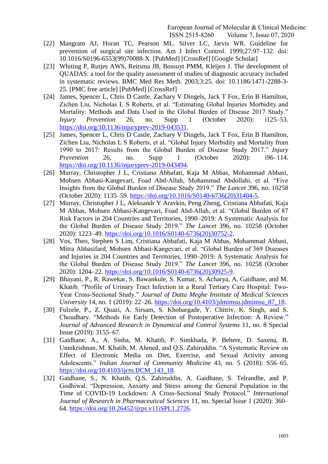- [22] Mangram AJ, Horan TC, Pearson ML. Silver LC, Jarvis WR. Guideline for prevention of surgical site infection. Am J Infect Control. 1999;27:97–132. doi: 10.1016/S0196-6553(99)70088-X. [PubMed] [CrossRef] [Google Scholar]
- [23] Whiting P, Rutjes AWS, Reitsma JB, Bossuyt PMM, Kleijen J. The development of QUADAS: a tool for the quality assessment of studies of diagnostic accuracy included in systematic reviews. BMC Med Res Meth. 2003;3:25. doi: 10.1186/1471-2288-3- 25. [PMC free article] [PubMed] [CrossRef]
- [24] James, Spencer L, Chris D Castle, Zachary V Dingels, Jack T Fox, Erin B Hamilton, Zichen Liu, Nicholas L S Roberts, et al. "Estimating Global Injuries Morbidity and Mortality: Methods and Data Used in the Global Burden of Disease 2017 Study." *Injury Prevention* 26, no. Supp 1 (October 2020): i125–53. [https://doi.org/10.1136/injuryprev-2019-043531.](https://doi.org/10.1136/injuryprev-2019-043531)
- [25] James, Spencer L, Chris D Castle, Zachary V Dingels, Jack T Fox, Erin B Hamilton, Zichen Liu, Nicholas L S Roberts, et al. "Global Injury Morbidity and Mortality from 1990 to 2017: Results from the Global Burden of Disease Study 2017." *Injury Prevention* 26, no. Supp 1 (October 2020): i96–114. [https://doi.org/10.1136/injuryprev-2019-043494.](https://doi.org/10.1136/injuryprev-2019-043494)
- [26] Murray, Christopher J L, Cristiana Abbafati, Kaja M Abbas, Mohammad Abbasi, Mohsen Abbasi-Kangevari, Foad Abd-Allah, Mohammad Abdollahi, et al. "Five Insights from the Global Burden of Disease Study 2019." *The Lancet* 396, no. 10258 (October 2020): 1135–59. [https://doi.org/10.1016/S0140-6736\(20\)31404-5.](https://doi.org/10.1016/S0140-6736(20)31404-5)
- [27] Murray, Christopher J L, Aleksandr Y Aravkin, Peng Zheng, Cristiana Abbafati, Kaja M Abbas, Mohsen Abbasi-Kangevari, Foad Abd-Allah, et al. "Global Burden of 87 Risk Factors in 204 Countries and Territories, 1990–2019: A Systematic Analysis for the Global Burden of Disease Study 2019." *The Lancet* 396, no. 10258 (October 2020): 1223–49. [https://doi.org/10.1016/S0140-6736\(20\)30752-2.](https://doi.org/10.1016/S0140-6736(20)30752-2)
- [28] Vos, Theo, Stephen S Lim, Cristiana Abbafati, Kaja M Abbas, Mohammad Abbasi, Mitra Abbasifard, Mohsen Abbasi-Kangevari, et al. "Global Burden of 369 Diseases and Injuries in 204 Countries and Territories, 1990–2019: A Systematic Analysis for the Global Burden of Disease Study 2019." *The Lancet* 396, no. 10258 (October 2020): 1204–22. [https://doi.org/10.1016/S0140-6736\(20\)30925-9.](https://doi.org/10.1016/S0140-6736(20)30925-9)
- [29] Bhayani, P., R. Rawekar, S. Bawankule, S. Kumar, S. Acharya, A. Gaidhane, and M. Khatib. "Profile of Urinary Tract Infection in a Rural Tertiary Care Hospital: Two-Year Cross-Sectional Study." *Journal of Datta Meghe Institute of Medical Sciences University* 14, no. 1 (2019): 22–26. [https://doi.org/10.4103/jdmimsu.jdmimsu\\_87\\_18.](https://doi.org/10.4103/jdmimsu.jdmimsu_87_18)
- [30] Fulzele, P., Z. Quazi, A. Sirsam, S. Khobargade, Y. Chitriv, K. Singh, and S. Choudhary. "Methods for Early Detection of Postoperative Infection: A Review." *Journal of Advanced Research in Dynamical and Control Systems* 11, no. 8 Special Issue (2019): 3155–67.
- [31] Gaidhane, A., A. Sinha, M. Khatib, P. Simkhada, P. Behere, D. Saxena, B. Unnikrishnan, M. Khatib, M. Ahmed, and Q.S. Zahiruddin. "A Systematic Review on Effect of Electronic Media on Diet, Exercise, and Sexual Activity among Adolescents." *Indian Journal of Community Medicine* 43, no. 5 (2018): S56–65. [https://doi.org/10.4103/ijcm.IJCM\\_143\\_18.](https://doi.org/10.4103/ijcm.IJCM_143_18)
- [32] Gaidhane, S., N. Khatib, Q.S. Zahiruddin, A. Gaidhane, S. Telrandhe, and P. Godhiwal. "Depression, Anxiety and Stress among the General Population in the Time of COVID-19 Lockdown: A Cross-Sectional Study Protocol." *International Journal of Research in Pharmaceutical Sciences* 11, no. Special Issue 1 (2020): 360– 64. [https://doi.org/10.26452/ijrps.v11iSPL1.2726.](https://doi.org/10.26452/ijrps.v11iSPL1.2726)